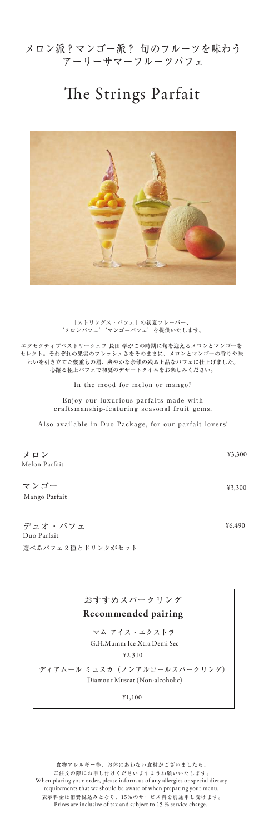## メロン派?マンゴー派? 旬のフルーツを味わう アーリーサマーフルーツパフェ

# The Strings Parfait



In the mood for melon or mango?

Enjoy our luxurious parfaits made with craftsmanship-featuring seasonal fruit gems.

Also available in Duo Package, for our parfait lovers!

「ストリングス・パフェ」の初夏フレーバー、 'メロンパフェ''マンゴーパフェ'を提供いたします。

エグゼクティブペストリーシェフ 長田 学がこの時期に旬を迎えるメロンとマンゴーを セレクト。それぞれの果実のフレッシュさをそのままに、メロンとマンゴーの香りや味 わいを引き立てた幾重もの層、爽やかな余韻の残る上品なパフェに仕上げました。 心躍る極上パフェで初夏のデザートタイムをお楽しみください。

Mango Parfait マンゴー

> G.H.Mumm Ice Xtra De マム アイス・エクストラ

Melon Parfait メロン

¥3,300

Duo Parfait デュオ・パフェ 選べるパフェ 2 種とドリンクがセット ¥3,300

¥6,490

食物アレルギー等、お体にあわない食材がございましたら、 ご注文の際にお申し付けくださいますようお願いいたします。 When placing your order, please inform us of any allergies or special dietary requirements that we should be aware of when preparing your menu. 表示料金は消費税込みとなり、15%のサービス料を別途申し受けます。 Prices are inclusive of tax and subject to 15 % service charge.

おすすめスパークリング Recommended pairing

¥1,100

Diamour Muscat (Non-alcoholic) ディアムール ミュスカ(ノンアルコールスパークリング)

### ¥2,310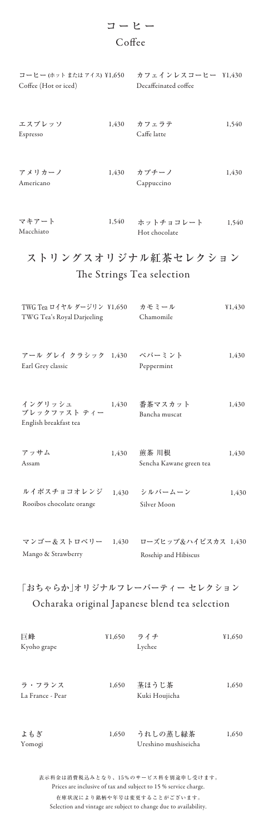表示料金は消費税込みとなり、15%のサービス料を別途申し受けます。 Prices are inclusive of tax and subject to 15 % service charge.

在庫状況により銘柄や年号は変更することがございます。 Selection and vintage are subject to change due to availability.

# ストリングスオリジナル紅茶セレクション The Strings Tea selection

## コーヒー Coffee

| TWG Tea ロイヤル ダージリン ¥1,650<br>TWG Tea's Royal Darjeeling     | カモミール<br>Chamomile               | ¥1,430 |
|-------------------------------------------------------------|----------------------------------|--------|
| アール グレイ クラシック 1,430 ペパーミント<br>Earl Grey classic             | Peppermint                       | 1,430  |
| イングリッシュ<br>1,430<br>ブレックファスト ティー<br>English breakfast tea   | 番茶マスカット<br>Bancha muscat         | 1,430  |
| アッサム<br>1,430<br>Assam                                      | 煎茶 川根<br>Sencha Kawane green tea | 1,430  |
| ルイボスチョコオレンジ<br>Rooibos chocolate orange                     | 1,430 シルバームーン<br>Silver Moon     | 1,430  |
| マンゴー&ストロベリー 1,430 ローズヒップ&ハイビスカス 1,430<br>Mango & Strawberry | Rosehip and Hibiscus             |        |

| コーヒー (ホットまたはアイス) ¥1,650<br>Coffee (Hot or iced) |       | カフェインレスコーヒー \1,430<br>Decaffeinated coffee |       |
|-------------------------------------------------|-------|--------------------------------------------|-------|
| エスプレッソ<br>Espresso                              | 1,430 | カフェラテ<br>Caffe latte                       | 1,540 |
| アメリカーノ<br>Americano                             | 1,430 | カプチーノ<br>Cappuccino                        | 1,430 |

| マキアート     | 1,540 | ホットチョコレート     | 1,540 |
|-----------|-------|---------------|-------|
| Macchiato |       | Hot chocolate |       |

|  |  | Kvoho grape |
|--|--|-------------|
|--|--|-------------|

| 巨峰 | ¥1,650 ライチ | 41,650 |
|----|------------|--------|
|    |            |        |

1,650 1,650 La France - Pear ラ・フランス Kuki Houjicha 茎ほうじ茶

1,650 うれしの蒸し緑茶 1,650 Yomogi よもぎ Ureshino mushiseicha

### Lychee

「おちゃらか」オリジナルフレーバーティー セレクション Ocharaka original Japanese blend tea selection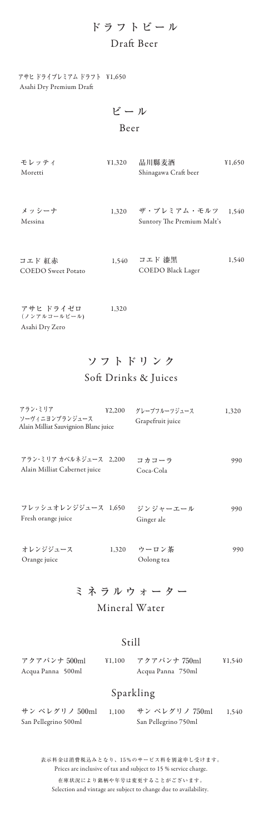表示料金は消費税込みとなり、15%のサービス料を別途申し受けます。 Prices are inclusive of tax and subject to 15 % service charge. 在庫状況により銘柄や年号は変更することがございます。 Selection and vintage are subject to change due to availability.

## ソフトドリンク

Soft Drinks & Juices

ミネラルウォーター

Mineral Water

| アラン・ミリア<br>42,200<br>ソーヴィニヨンブランジュース<br>Alain Milliat Sauvignion Blanc juice | グレープフルーツジュース<br>Grapefruit juice | 1,320 |
|-----------------------------------------------------------------------------|----------------------------------|-------|
| アラン・ミリア カベルネジュース 2.200<br>Alain Milliat Cabernet juice                      | コカコーラ<br>Coca-Cola               | 990   |
| フレッシュオレンジジュース 1,650<br>Fresh orange juice                                   | ジンジャーエール<br>Ginger ale           | 990   |
| オレンジジュース<br>Orange juice                                                    | 1,320 ウーロン茶<br>Oolong tea        | 990   |

Acqua Panna 500ml アクアパンナ 500ml ¥1,100 Acqua Panna 750ml アクアパンナ 750ml ¥1,540

## ドラフトビール Draft Beer

### Sparkling

San Pellegrino 500ml サン ペレグリノ 500ml 1,100 San Pellegrino 750ml サン ペレグリノ 750ml 1,540

Asahi Dry Premium Dra アサヒ ドライプレミアム ドラフト ¥1,650

| モレッティ<br>Moretti | 41,320 | 品川縣麦酒<br>Shinagawa Craft beer                   | ¥1,650 |
|------------------|--------|-------------------------------------------------|--------|
|                  |        |                                                 |        |
| メッシーナ<br>Messina | 1,320  | ザ・プレミアム・モルツ 1,540<br>Suntory The Premium Malt's |        |

| コエド 紅赤                    | 1.540 | コエド 漆黒            | 1.540 |
|---------------------------|-------|-------------------|-------|
| <b>COEDO</b> Sweet Potato |       | COEDO Black Lager |       |

| アサヒ ドライゼロ      | 1,320 |
|----------------|-------|
| (ノンアルコールビール)   |       |
| Asahi Dry Zero |       |

ビール Beer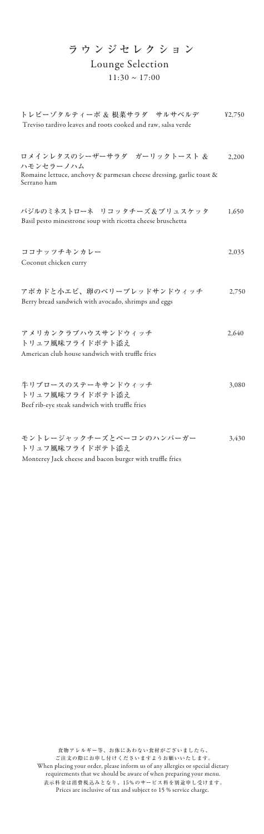| ラウンジセレクション<br>Lounge Selection<br>$11:30 \sim 17:00$                                                                           |        |
|--------------------------------------------------------------------------------------------------------------------------------|--------|
| トレビーゾタルティーボ & 根菜サラダ サルサベルデ<br>Treviso tardivo leaves and roots cooked and raw, salsa verde                                     | 42,750 |
| ロメインレタスのシーザーサラダ ガーリックトースト &<br>ハモンセラーノハム<br>Romaine lettuce, anchovy & parmesan cheese dressing, garlic toast &<br>Serrano ham | 2,200  |
| バジルのミネストローネ リコッタチーズ&ブリュスケッタ<br>Basil pesto minestrone soup with ricotta cheese bruschetta                                      | 1,650  |
| ココナッツチキンカレー<br>Coconut chicken curry                                                                                           | 2,035  |
| アボカドと小エビ、卵のベリーブレッドサンドウィッチ<br>Berry bread sandwich with avocado, shrimps and eggs                                               | 2,750  |
| アメリカンクラブハウスサンドウィッチ<br>トリュフ風味フライドポテト添え<br>American club house sandwich with truffle fries                                       | 2.640  |
| 牛リブロースのステーキサンドウィッチ<br>トリュフ風味フライドポテト添え<br>Beef rib-eye steak sandwich with truffle fries                                        | 3,080  |
| モントレージャックチーズとベーコンのハンバーガー<br>トリュフ風味フライドポテト添え                                                                                    | 3,430  |

Monterey Jack cheese and bacon burger with truffle fries

食物アレルギー等、お体にあわない食材がございましたら、 ご注文の際にお申し付けくださいますようお願いいたします。 When placing your order, please inform us of any allergies or special dietary requirements that we should be aware of when preparing your menu. 表示料金は消費税込みとなり、15%のサービス料を別途申し受けます。 Prices are inclusive of tax and subject to 15 % service charge.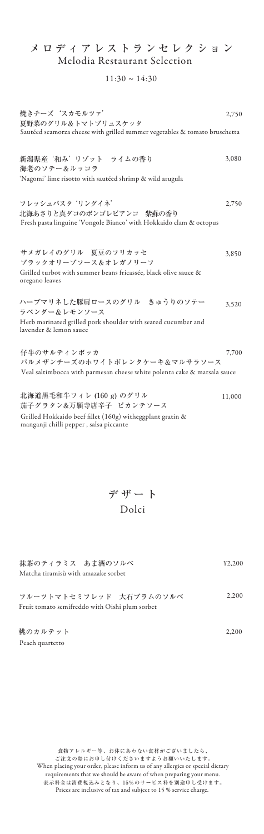Sautéed scamorza cheese with grilled summer vegetables & tomato bruschetta 焼きチーズ 'スカモルツァ' 夏野菜のグリル&トマトブリュスケッタ 2,750

## メロディアレストランセレクション Melodia Restaurant Selection

### $11:30 \sim 14:30$

'Nagomi' lime risotto with sautéed shrimp & wild arugula 新潟県産 '和み' リゾット ライムの香り 海老のソテー&ルッコラ 3,080

デザート

Dolci

抹茶のティラミス あま酒のソルベ Matcha tiramisù with amazake sorbet

2,750 Fresh pasta linguine 'Vongole Bianco' with Hokkaido clam & octopus フレッシュパスタ 'リングイネ' 北海あさりと真ダコのボンゴレビアンコ 紫蘇の香り

¥2,200

3,850 Grilled turbot with summer beans fricassée, black olive sauce & oregano leaves サメガレイのグリル 夏豆のフリカッセ ブラックオリーブソース&オレガノリーフ

3,520 Herb marinated grilled pork shoulder with seared cucumber and lavender & lemon sauce ハーブマリネした豚肩ロースのグリル きゅうりのソテー ラベンダー&レモンソース

7,700 Veal saltimbocca with parmesan cheese white polenta cake & marsala sauce 仔牛のサルティンボッカ パルメザンチーズのホワイトポレンタケーキ&マルサラソース

11,000 Grilled Hokkaido beef fillet (160g) witheggplant gratin  $\&$ manganji chilli pepper , salsa piccante 北海道黒毛和牛フィレ (160 g) のグリル 茄子グラタン&万願寺唐辛子 ピカンテソース

Fruit tomato semifreddo with Oishi plum sorbet フルーツトマトセミフレッド 大石プラムのソルベ 2,200

食物アレルギー等、お体にあわない食材がございましたら、 ご注文の際にお申し付けくださいますようお願いいたします。 When placing your order, please inform us of any allergies or special dietary requirements that we should be aware of when preparing your menu. 表示料金は消費税込みとなり、15%のサービス料を別途申し受けます。 Prices are inclusive of tax and subject to 15 % service charge.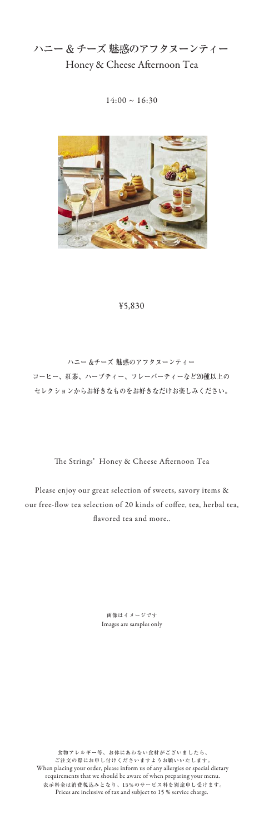### ¥5,830

Please enjoy our great selection of sweets, savory items & our free-flow tea selection of 20 kinds of coffee, tea, herbal tea, avored tea and more..

ハニー &チーズ 魅惑のアフタヌーンティー コーヒー、紅茶、ハーブティー、フレーバーティーなど20種以上の セレクションからお好きなものをお好きなだけお楽しみください。

The Strings' Honey & Cheese Afternoon Tea

ハニー & チーズ 魅惑のアフタヌーンティー Honey & Cheese Afternoon Tea

 $14:00 \sim 16:30$ 



食物アレルギー等、お体にあわない食材がございましたら、 ご注文の際にお申し付けくださいますようお願いいたします。 When placing your order, please inform us of any allergies or special dietary requirements that we should be aware of when preparing your menu. 表示料金は消費税込みとなり、15%のサービス料を別途申し受けます。 Prices are inclusive of tax and subject to 15 % service charge.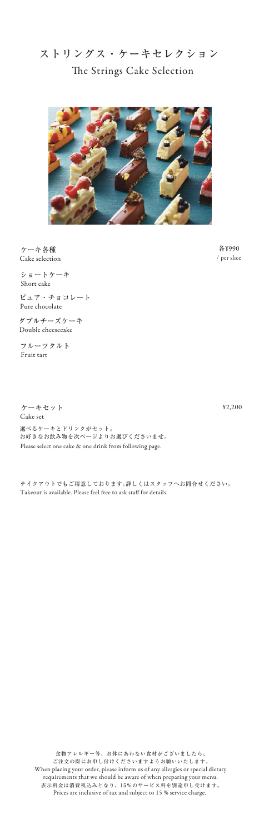食物アレルギー等、お体にあわない食材がございましたら、 ご注文の際にお申し付けくださいますようお願いいたします。 When placing your order, please inform us of any allergies or special dietary requirements that we should be aware of when preparing your menu. 表示料金は消費税込みとなり、15%のサービス料を別途申し受けます。 Prices are inclusive of tax and subject to 15 % service charge.

ストリングス・ケーキセレクション The Strings Cake Selection



テイクアウトでもご用意しております。詳しくはスタッフへお問合せください。 Takeout is available. Please feel free to ask staff for details.

ショートケーキ Short cake

ピュア・チョコレート Pure chocolate

ダブルチーズケーキ Double cheesecake

フルーツタルト Fruit tart

ケーキセット Cake set

 Please select one cake & one drink from following page. 選べるケーキとドリンクがセット。 お好きなお飲み物を次ページよりお選びくださいませ。

ケーキ各種 Cake selection

¥2,200

各¥990 / per slice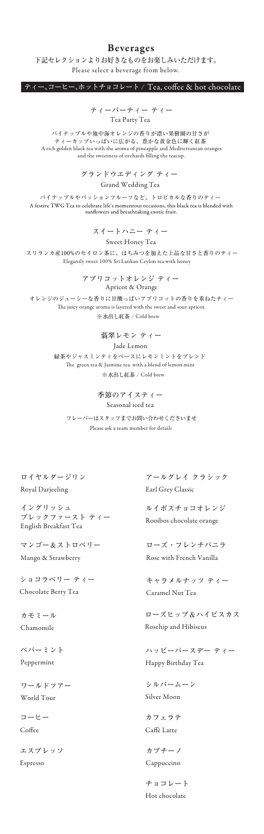### Beverages

下記セレクションよりお好きなものをお楽しみいただけます。 Please select a beverage from below.

ティー、コーヒー、ホットチョコレート / Tea, coffee & hot chocolate

パイナップルや地中海オレンジの香りが漂い果樹園の甘さが ティーカップいっぱいに広がる、豊かな黄金色に輝く紅茶 A rich golden black tea with the aroma of pineapple and Mediterranean oranges and the sweetness of orchards filling the teacup.

ティーパーティー ティー Tea Party Tea

パイナップルやパッションフルーツなど、トロピカルな香りのティー A festive TWG Tea to celebrate life's momentous occasions, this black tea is blended with sunflowers and breathtaking exotic fruit.

グランドウエディング ティー Grand Wedding Tea

ロイヤルダージリン Royal Darjeeling

> カフェラテ Caffè Latte

アールグレイ クラシック Earl Grey Classic

イングリッシュ ブレックファースト ティー English Breakfast Tea

カモミール Chamomile

ローズヒップ&ハイビスカス Rosehip and Hibiscus

ルイボスチョコオレンジ Rooibos chocolate orange

Please ask a team member for details フレーバーはスタッフまでお問い合わせくださいませ

マンゴー&ストロベリー Mango & Strawberry

ローズ・フレンチバニラ Rose with French Vanilla

ショコラベリー ティー Chocolate Berry Tea

ペパーミント

Peppermint

キャラメルナッツ ティー Caramel Nut Tea

シルバームーン

Silver Moon

ワールドツアー

World Tour

季節のアイスティー Seasonal iced tea

スイートハニー ティー Sweet Honey Tea

 スリランカ産100%のセイロン茶に、はちみつを加えた上品な甘さと香りのティー Elegantly sweet 100% Sri Lankan Ceylon tea with honey

エスプレッソ

Espresso

カプチーノ

Cappuccino

コーヒー

Coffee

オレンジのジューシーな香りに甘酸っぱいアプリコットの香りを重ねたティー The juicy orange aroma is layered with the sweet and sour apricot. ※水出し紅茶 / Cold brew

チョコレート

Hot chocolate

Apricot & Orange アプリコットオレンジ ティー

翡翠レモン ティー Jade Lemon 緑茶やジャスミンティをベースにレモンミントをブレンド The green tea & Jasmine tea with a blend of lemon mint ※水出し紅茶 / Cold brew

ハッピーバースデー ティー

Happy Birthday Tea